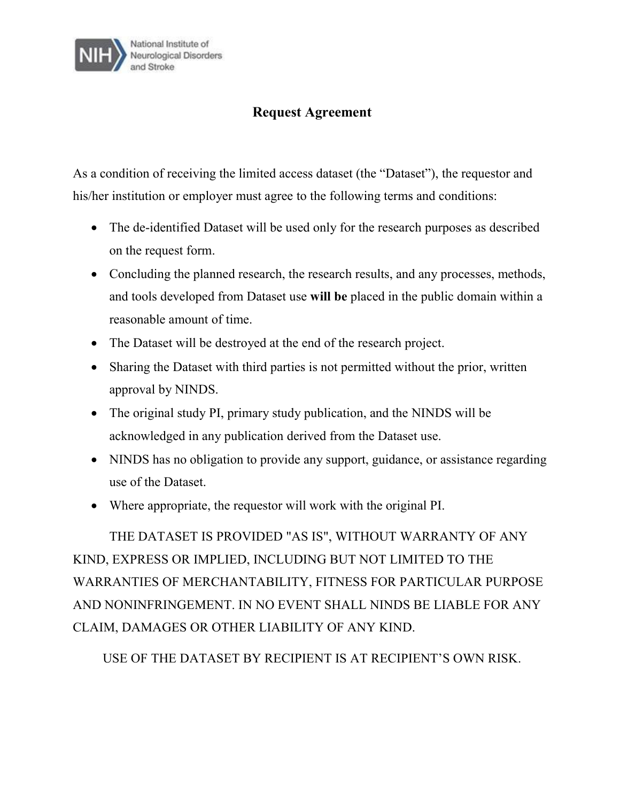

## **Request Agreement**

As a condition of receiving the limited access dataset (the "Dataset"), the requestor and his/her institution or employer must agree to the following terms and conditions:

- The de-identified Dataset will be used only for the research purposes as described on the request form.
- Concluding the planned research, the research results, and any processes, methods, and tools developed from Dataset use **will be** placed in the public domain within a reasonable amount of time.
- The Dataset will be destroyed at the end of the research project.
- Sharing the Dataset with third parties is not permitted without the prior, written approval by NINDS.
- The original study PI, primary study publication, and the NINDS will be acknowledged in any publication derived from the Dataset use.
- NINDS has no obligation to provide any support, guidance, or assistance regarding use of the Dataset.
- Where appropriate, the requestor will work with the original PI.

THE DATASET IS PROVIDED "AS IS", WITHOUT WARRANTY OF ANY KIND, EXPRESS OR IMPLIED, INCLUDING BUT NOT LIMITED TO THE WARRANTIES OF MERCHANTABILITY, FITNESS FOR PARTICULAR PURPOSE AND NONINFRINGEMENT. IN NO EVENT SHALL NINDS BE LIABLE FOR ANY CLAIM, DAMAGES OR OTHER LIABILITY OF ANY KIND.

USE OF THE DATASET BY RECIPIENT IS AT RECIPIENT'S OWN RISK.